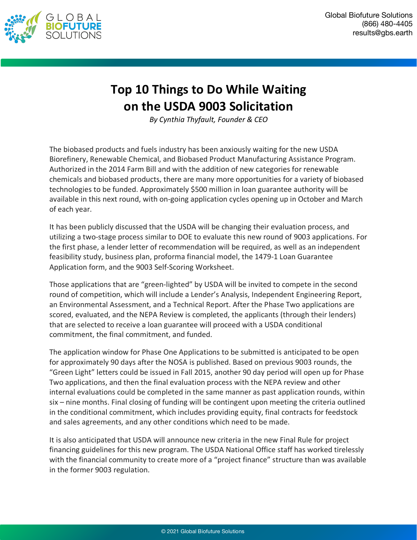

## **Top 10 Things to Do While Waiting on the USDA 9003 Solicitation**

*By Cynthia Thyfault, Founder & CEO*

The biobased products and fuels industry has been anxiously waiting for the new USDA Biorefinery, Renewable Chemical, and Biobased Product Manufacturing Assistance Program. Authorized in the 2014 Farm Bill and with the addition of new categories for renewable chemicals and biobased products, there are many more opportunities for a variety of biobased technologies to be funded. Approximately \$500 million in loan guarantee authority will be available in this next round, with on-going application cycles opening up in October and March of each year.

It has been publicly discussed that the USDA will be changing their evaluation process, and utilizing a two-stage process similar to DOE to evaluate this new round of 9003 applications. For the first phase, a lender letter of recommendation will be required, as well as an independent feasibility study, business plan, proforma financial model, the 1479-1 Loan Guarantee Application form, and the 9003 Self-Scoring Worksheet.

Those applications that are "green-lighted" by USDA will be invited to compete in the second round of competition, which will include a Lender's Analysis, Independent Engineering Report, an Environmental Assessment, and a Technical Report. After the Phase Two applications are scored, evaluated, and the NEPA Review is completed, the applicants (through their lenders) that are selected to receive a loan guarantee will proceed with a USDA conditional commitment, the final commitment, and funded.

The application window for Phase One Applications to be submitted is anticipated to be open for approximately 90 days after the NOSA is published. Based on previous 9003 rounds, the "Green Light" letters could be issued in Fall 2015, another 90 day period will open up for Phase Two applications, and then the final evaluation process with the NEPA review and other internal evaluations could be completed in the same manner as past application rounds, within six – nine months. Final closing of funding will be contingent upon meeting the criteria outlined in the conditional commitment, which includes providing equity, final contracts for feedstock and sales agreements, and any other conditions which need to be made.

It is also anticipated that USDA will announce new criteria in the new Final Rule for project financing guidelines for this new program. The USDA National Office staff has worked tirelessly with the financial community to create more of a "project finance" structure than was available in the former 9003 regulation.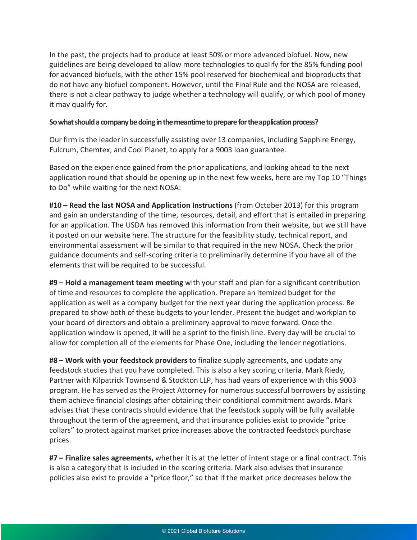In the past, the projects had to produce at least 50% or more advanced biofuel. Now, new guidelines are being developed to allow more technologies to qualify for the 85% funding pool for advanced biofuels, with the other 15% pool reserved for biochemical and bioproducts that do not have any biofuel component. However, until the Final Rule and the NOSA are released, there is not a clear pathway to judge whether a technology will qualify, or which pool of money it may qualify for.

## **So what should a company be doing in the meantime to prepare for the application process?**

Our firm is the leader in successfully assisting over 13 companies, including Sapphire Energy, Fulcrum, Chemtex, and Cool Planet, to apply for a 9003 loan guarantee.

Based on the experience gained from the prior applications, and looking ahead to the next application round that should be opening up in the next few weeks, here are my Top 10 "Things to Do" while waiting for the next NOSA:

**#10 – Read the last NOSA and Application Instructions** (from October 2013) for this program and gain an understanding of the time, resources, detail, and effort that is entailed in preparing for an application. The USDA has removed this information from their website, but we still have it posted on our website here. The structure for the feasibility study, technical report, and environmental assessment will be similar to that required in the new NOSA. Check the prior guidance documents and self-scoring criteria to preliminarily determine if you have all of the elements that will be required to be successful.

**#9 – Hold a management team meeting** with your staff and plan for a significant contribution of time and resources to complete the application. Prepare an itemized budget for the application as well as a company budget for the next year during the application process. Be prepared to show both of these budgets to your lender. Present the budget and workplan to your board of directors and obtain a preliminary approval to move forward. Once the application window is opened, it will be a sprint to the finish line. Every day will be crucial to allow for completion all of the elements for Phase One, including the lender negotiations.

**#8 – Work with your feedstock providers** to finalize supply agreements, and update any feedstock studies that you have completed. This is also a key scoring criteria. Mark Riedy, Partner with Kilpatrick Townsend & Stockton LLP, has had years of experience with this 9003 program. He has served as the Project Attorney for numerous successful borrowers by assisting them achieve financial closings after obtaining their conditional commitment awards. Mark advises that these contracts should evidence that the feedstock supply will be fully available throughout the term of the agreement, and that insurance policies exist to provide "price collars" to protect against market price increases above the contracted feedstock purchase prices.

**#7 – Finalize sales agreements,** whether it is at the letter of intent stage or a final contract. This is also a category that is included in the scoring criteria. Mark also advises that insurance policies also exist to provide a "price floor," so that if the market price decreases below the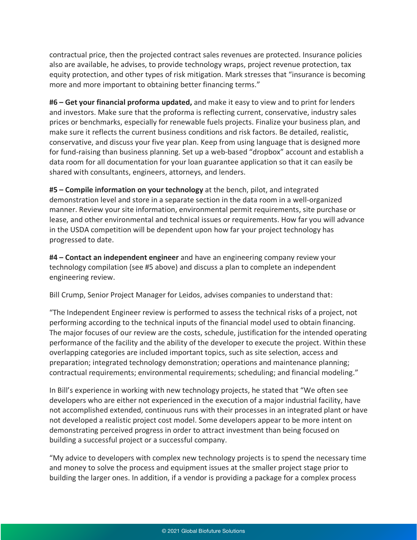contractual price, then the projected contract sales revenues are protected. Insurance policies also are available, he advises, to provide technology wraps, project revenue protection, tax equity protection, and other types of risk mitigation. Mark stresses that "insurance is becoming more and more important to obtaining better financing terms."

**#6 – Get your financial proforma updated,** and make it easy to view and to print for lenders and investors. Make sure that the proforma is reflecting current, conservative, industry sales prices or benchmarks, especially for renewable fuels projects. Finalize your business plan, and make sure it reflects the current business conditions and risk factors. Be detailed, realistic, conservative, and discuss your five year plan. Keep from using language that is designed more for fund-raising than business planning. Set up a web-based "dropbox" account and establish a data room for all documentation for your loan guarantee application so that it can easily be shared with consultants, engineers, attorneys, and lenders.

**#5 – Compile information on your technology** at the bench, pilot, and integrated demonstration level and store in a separate section in the data room in a well-organized manner. Review your site information, environmental permit requirements, site purchase or lease, and other environmental and technical issues or requirements. How far you will advance in the USDA competition will be dependent upon how far your project technology has progressed to date.

**#4 – Contact an independent engineer** and have an engineering company review your technology compilation (see #5 above) and discuss a plan to complete an independent engineering review.

Bill Crump, Senior Project Manager for Leidos, advises companies to understand that:

"The Independent Engineer review is performed to assess the technical risks of a project, not performing according to the technical inputs of the financial model used to obtain financing. The major focuses of our review are the costs, schedule, justification for the intended operating performance of the facility and the ability of the developer to execute the project. Within these overlapping categories are included important topics, such as site selection, access and preparation; integrated technology demonstration; operations and maintenance planning; contractual requirements; environmental requirements; scheduling; and financial modeling."

In Bill's experience in working with new technology projects, he stated that "We often see developers who are either not experienced in the execution of a major industrial facility, have not accomplished extended, continuous runs with their processes in an integrated plant or have not developed a realistic project cost model. Some developers appear to be more intent on demonstrating perceived progress in order to attract investment than being focused on building a successful project or a successful company.

"My advice to developers with complex new technology projects is to spend the necessary time and money to solve the process and equipment issues at the smaller project stage prior to building the larger ones. In addition, if a vendor is providing a package for a complex process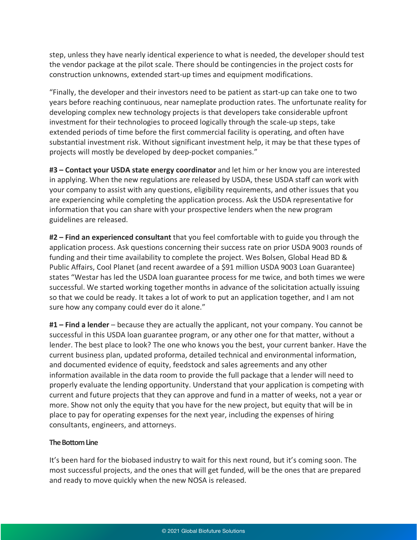step, unless they have nearly identical experience to what is needed, the developer should test the vendor package at the pilot scale. There should be contingencies in the project costs for construction unknowns, extended start-up times and equipment modifications.

"Finally, the developer and their investors need to be patient as start-up can take one to two years before reaching continuous, near nameplate production rates. The unfortunate reality for developing complex new technology projects is that developers take considerable upfront investment for their technologies to proceed logically through the scale-up steps, take extended periods of time before the first commercial facility is operating, and often have substantial investment risk. Without significant investment help, it may be that these types of projects will mostly be developed by deep-pocket companies."

**#3 – Contact your USDA state energy coordinator** and let him or her know you are interested in applying. When the new regulations are released by USDA, these USDA staff can work with your company to assist with any questions, eligibility requirements, and other issues that you are experiencing while completing the application process. Ask the USDA representative for information that you can share with your prospective lenders when the new program guidelines are released.

**#2 – Find an experienced consultant** that you feel comfortable with to guide you through the application process. Ask questions concerning their success rate on prior USDA 9003 rounds of funding and their time availability to complete the project. Wes Bolsen, Global Head BD & Public Affairs, Cool Planet (and recent awardee of a \$91 million USDA 9003 Loan Guarantee) states "Westar has led the USDA loan guarantee process for me twice, and both times we were successful. We started working together months in advance of the solicitation actually issuing so that we could be ready. It takes a lot of work to put an application together, and I am not sure how any company could ever do it alone."

**#1 – Find a lender** – because they are actually the applicant, not your company. You cannot be successful in this USDA loan guarantee program, or any other one for that matter, without a lender. The best place to look? The one who knows you the best, your current banker. Have the current business plan, updated proforma, detailed technical and environmental information, and documented evidence of equity, feedstock and sales agreements and any other information available in the data room to provide the full package that a lender will need to properly evaluate the lending opportunity. Understand that your application is competing with current and future projects that they can approve and fund in a matter of weeks, not a year or more. Show not only the equity that you have for the new project, but equity that will be in place to pay for operating expenses for the next year, including the expenses of hiring consultants, engineers, and attorneys.

## **The Bottom Line**

It's been hard for the biobased industry to wait for this next round, but it's coming soon. The most successful projects, and the ones that will get funded, will be the ones that are prepared and ready to move quickly when the new NOSA is released.